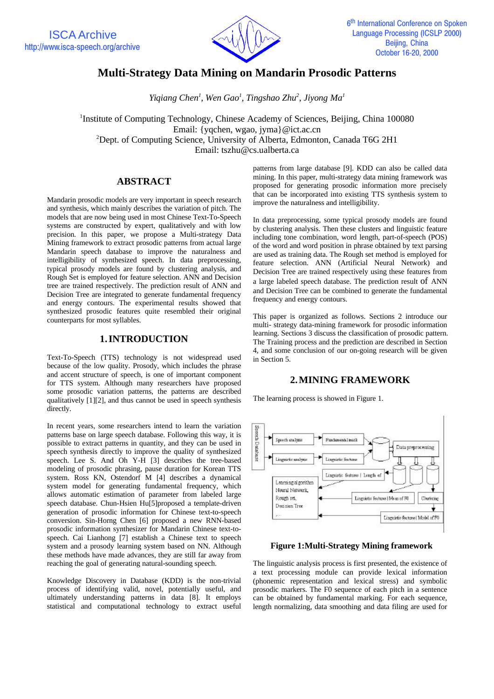

# **Multi-Strategy Data Mining on Mandarin Prosodic Patterns**

*Yiqiang Chen<sup>1</sup> , Wen Gao<sup>1</sup> , Tingshao Zhu<sup>2</sup> , Jiyong Ma<sup>1</sup>*

<sup>1</sup>Institute of Computing Technology, Chinese Academy of Sciences, Beijing, China 100080 Email: {yqchen, wgao, jyma}@ict.ac.cn  ${}^{2}$ Dept. of Computing Science, University of Alberta, Edmonton, Canada T6G 2H1 Email: tszhu@cs.ualberta.ca

## **ABSTRACT**

Mandarin prosodic models are very important in speech research and synthesis, which mainly describes the variation of pitch. The models that are now being used in most Chinese Text-To-Speech systems are constructed by expert, qualitatively and with low precision. In this paper, we propose a Multi-strategy Data Mining framework to extract prosodic patterns from actual large Mandarin speech database to improve the naturalness and intelligibility of synthesized speech. In data preprocessing, typical prosody models are found by clustering analysis, and Rough Set is employed for feature selection. ANN and Decision tree are trained respectively. The prediction result of ANN and Decision Tree are integrated to generate fundamental frequency and energy contours. The experimental results showed that synthesized prosodic features quite resembled their original counterparts for most syllables.

### **1.INTRODUCTION**

Text-To-Speech (TTS) technology is not widespread used because of the low quality. Prosody, which includes the phrase and accent structure of speech, is one of important component for TTS system. Although many researchers have proposed some prosodic variation patterns, the patterns are described qualitatively [1][2], and thus cannot be used in speech synthesis directly.

In recent years, some researchers intend to learn the variation patterns base on large speech database. Following this way, it is possible to extract patterns in quantity, and they can be used in speech synthesis directly to improve the quality of synthesized speech. Lee S. And Oh Y-H [3] describes the tree-based modeling of prosodic phrasing, pause duration for Korean TTS system. Ross KN, Ostendorf M [4] describes a dynamical system model for generating fundamental frequency, which allows automatic estimation of parameter from labeled large speech database. Chun-Hsien Hu[5]proposed a template-driven generation of prosodic information for Chinese text-to-speech conversion. Sin-Horng Chen [6] proposed a new RNN-based prosodic information synthesizer for Mandarin Chinese text-tospeech. Cai Lianhong [7] establish a Chinese text to speech system and a prosody learning system based on NN. Although these methods have made advances, they are still far away from reaching the goal of generating natural-sounding speech.

Knowledge Discovery in Database (KDD) is the non-trivial process of identifying valid, novel, potentially useful, and ultimately understanding patterns in data [8]. It employs statistical and computational technology to extract useful patterns from large database [9]. KDD can also be called data mining. In this paper, multi-strategy data mining framework was proposed for generating prosodic information more precisely that can be incorporated into existing TTS synthesis system to improve the naturalness and intelligibility.

In data preprocessing, some typical prosody models are found by clustering analysis. Then these clusters and linguistic feature including tone combination, word length, part-of-speech (POS) of the word and word position in phrase obtained by text parsing are used as training data. The Rough set method is employed for feature selection. ANN (Artificial Neural Network) and Decision Tree are trained respectively using these features from a large labeled speech database. The prediction result of ANN and Decision Tree can be combined to generate the fundamental frequency and energy contours.

This paper is organized as follows. Sections 2 introduce our multi- strategy data-mining framework for prosodic information learning. Sections 3 discuss the classification of prosodic pattern. The Training process and the prediction are described in Section 4, and some conclusion of our on-going research will be given in Section 5.

### **2.MINING FRAMEWORK**

The learning process is showed in Figure 1.



**Figure 1:Multi-Strategy Mining framework**

The linguistic analysis process is first presented, the existence of a text processing module can provide lexical information (phonemic representation and lexical stress) and symbolic prosodic markers. The F0 sequence of each pitch in a sentence can be obtained by fundamental marking. For each sequence, length normalizing, data smoothing and data filing are used for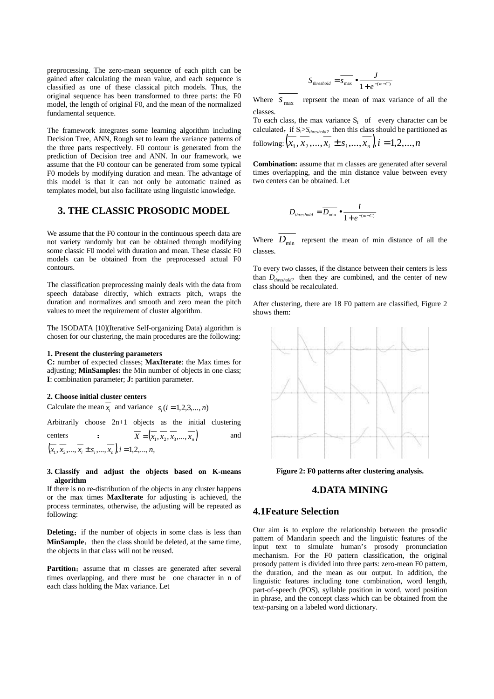preprocessing. The zero-mean sequence of each pitch can be gained after calculating the mean value, and each sequence is classified as one of these classical pitch models. Thus, the original sequence has been transformed to three parts: the F0 model, the length of original F0, and the mean of the normalized fundamental sequence.

The framework integrates some learning algorithm including Decision Tree, ANN, Rough set to learn the variance patterns of the three parts respectively. F0 contour is generated from the prediction of Decision tree and ANN. In our framework, we assume that the F0 contour can be generated from some typical F0 models by modifying duration and mean. The advantage of this model is that it can not only be automatic trained as templates model, but also facilitate using linguistic knowledge.

## **3. THE CLASSIC PROSODIC MODEL**

We assume that the F0 contour in the continuous speech data are not variety randomly but can be obtained through modifying some classic F0 model with duration and mean. These classic F0 models can be obtained from the preprocessed actual F0 contours.

The classification preprocessing mainly deals with the data from speech database directly, which extracts pitch, wraps the duration and normalizes and smooth and zero mean the pitch values to meet the requirement of cluster algorithm.

The ISODATA [10](Iterative Self-organizing Data) algorithm is chosen for our clustering, the main procedures are the following:

#### **1. Present the clustering parameters**

**C:** number of expected classes; **MaxIterate**: the Max times for adjusting; **MinSamples:** the Min number of objects in one class; **I**: combination parameter; **J:** partition parameter.

#### **2. Choose initial cluster centers**

Calculate the mean  $x_i$  and variance  $s_i$  ( $i = 1, 2, 3, ..., n$ )

Arbitrarily choose 2n+1 objects as the initial clustering

$$
\text{ centers } \qquad : \qquad \overline{X} = (\overline{x_1}, \overline{x_2}, \overline{x_3}, \dots, \overline{x_n}) \qquad \text{and} \qquad
$$
\n
$$
(\overline{x_1}, \overline{x_2}, \dots, \overline{x_i} \pm s_i, \dots, \overline{x_n}), i = 1, 2, \dots, n,
$$

#### **3. Classify and adjust the objects based on K-means algorithm**

If there is no re-distribution of the objects in any cluster happens or the max times **MaxIterate** for adjusting is achieved, the process terminates, otherwise, the adjusting will be repeated as following:

**Deleting:** if the number of objects in some class is less than MinSample, then the class should be deleted, at the same time, the objects in that class will not be reused.

Partition: assume that m classes are generated after several times overlapping, and there must be one character in n of each class holding the Max variance. Let

$$
S_{\text{threshold}} = \overline{s_{\text{max}}} \bullet \frac{J}{1 + e^{-(m-C)}}
$$

Where  $S_{\text{max}}$  reprsent the mean of max variance of all the classes.

To each class, the max variance  $S<sub>I</sub>$  of every character can be calculated, if  $S_i>S_{threshold}$ , then this class should be partitioned as following:  $(x_1, x_2, ..., x_i \pm s_i, ..., x_n)$ ,  $i = 1,2,...,n$ 

**Combination:** assume that m classes are generated after several times overlapping, and the min distance value between every two centers can be obtained. Let

$$
D_{threshold} = \overline{D_{\min}} \bullet \frac{I}{1 + e^{-(m-C)}}
$$

Where  $D_{\min}$  reprsent the mean of min distance of all the classes.

To every two classes, if the distance between their centers is less than  $D_{threshold}$ , then they are combined, and the center of new class should be recalculated.

After clustering, there are 18 F0 pattern are classified, Figure 2 shows them:



**Figure 2: F0 patterns after clustering analysis.**

# **4.DATA MINING**

#### **4.1Feature Selection**

Our aim is to explore the relationship between the prosodic pattern of Mandarin speech and the linguistic features of the input text to simulate human's prosody pronunciation mechanism. For the F0 pattern classification, the original prosody pattern is divided into three parts: zero-mean F0 pattern, the duration, and the mean as our output. In addition, the linguistic features including tone combination, word length, part-of-speech (POS), syllable position in word, word position in phrase, and the concept class which can be obtained from the text-parsing on a labeled word dictionary.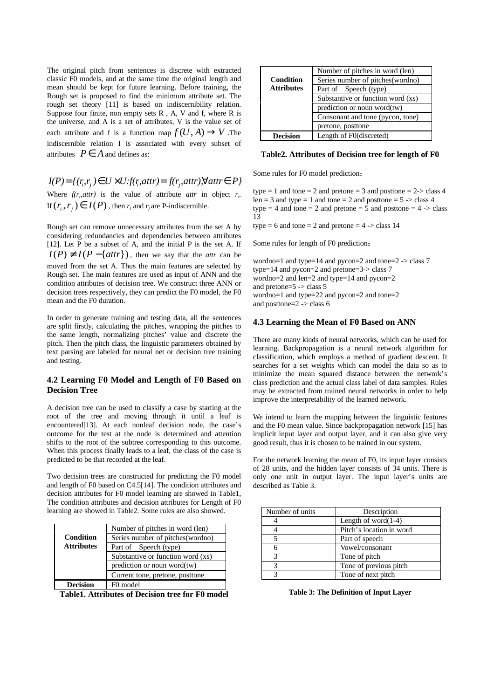The original pitch from sentences is discrete with extracted classic F0 models, and at the same time the original length and mean should be kept for future learning. Before training, the Rough set is proposed to find the minimum attribute set. The rough set theory [11] is based on indiscernibility relation. Suppose four finite, non empty sets R , A, V and f, where R is the universe, and A is a set of attributes, V is the value set of each attribute and f is a function map  $f(U, A) \rightarrow V$ . The indiscernible relation I is associated with every subset of attributes  $P \in A$  and defines as:

 $I(P) = \{(r_i, r_i) \in U \times U: f(r_i, attr) = f(r_i, attr)$ ,  $\forall attr \in P\}$ Where  $f(r<sub>p</sub>attr)$  is the value of attribute *attr* in object  $r<sub>i</sub>$ . If  $(r_i, r_j) \in I(P)$ , then  $r_i$  and  $r_j$  are P-indiscernible.

Rough set can remove unnecessary attributes from the set A by considering redundancies and dependencies between attributes [12]. Let P be a subset of A, and the initial P is the set A. If  $I(P) \neq I(P - \{attr\})$ , then we say that the *attr* can be moved from the set A. Thus the main features are selected by Rough set. The main features are used as input of ANN and the condition attributes of decision tree. We construct three ANN or decision trees respectively, they can predict the F0 model, the F0 mean and the F0 duration.

In order to generate training and testing data, all the sentences are split firstly, calculating the pitches, wrapping the pitches to the same length, normalizing pitches' value and discrete the pitch. Then the pitch class, the linguistic parameters obtained by text parsing are labeled for neural net or decision tree training and testing.

### **4.2 Learning F0 Model and Length of F0 Based on Decision Tree**

A decision tree can be used to classify a case by starting at the root of the tree and moving through it until a leaf is encountered[13]. At each nonleaf decision node, the case's outcome for the test at the node is determined and attention shifts to the root of the subtree corresponding to this outcome. When this process finally leads to a leaf, the class of the case is predicted to be that recorded at the leaf.

Two decision trees are constructed for predicting the F0 model and length of F0 based on C4.5[14]. The condition attributes and decision attributes for F0 model learning are showed in Table1, The condition attributes and decision attributes for Length of F0 learning are showed in Table2. Some rules are also showed.

| <b>Condition</b><br><b>Attributes</b> | Number of pitches in word (len)   |
|---------------------------------------|-----------------------------------|
|                                       | Series number of pitches (wordno) |
|                                       | Part of Speech (type)             |
|                                       | Substantive or function word (xs) |
|                                       | prediction or noun word(tw)       |
|                                       | Current tone, pretone, posttone   |
| <b>Decision</b>                       | F0 model                          |

**Table1. Attributes of Decision tree for F0 model**

|                   | Number of pitches in word (len)   |
|-------------------|-----------------------------------|
| <b>Condition</b>  | Series number of pitches(wordno)  |
| <b>Attributes</b> | Part of Speech (type)             |
|                   | Substantive or function word (xs) |
|                   | prediction or noun word $(tw)$    |
|                   | Consonant and tone (pycon, tone)  |
|                   | pretone, posttone                 |
| <b>Decision</b>   | Length of F0(discreted)           |
|                   |                                   |

**Table2. Attributes of Decision tree for length of F0**

Some rules for F0 model prediction

type  $= 1$  and tone  $= 2$  and pretone  $= 3$  and posttone  $= 2$ - $>$  class 4 len = 3 and type = 1 and tone = 2 and posttone =  $5 \rightarrow$  class 4 type  $= 4$  and tone  $= 2$  and pretone  $= 5$  and posttone  $= 4$  -> class 13

type = 6 and tone = 2 and pretone =  $4 \rightarrow$  class 14

Some rules for length of F0 prediction

wordno=1 and type=14 and pycon=2 and tone=2  $\rightarrow$  class 7 type=14 and pycon=2 and pretone=3-> class 7 wordno=2 and len=2 and type=14 and pycon=2 and pretone=5 -> class 5 wordno=1 and type=22 and pycon=2 and tone=2 and posttone= $2$  -> class 6

### **4.3 Learning the Mean of F0 Based on ANN**

There are many kinds of neural networks, which can be used for learning. Backpropagation is a neural network algorithm for classification, which employs a method of gradient descent. It searches for a set weights which can model the data so as to minimize the mean squared distance between the network's class prediction and the actual class label of data samples. Rules may be extracted from trained neural networks in order to help improve the interpretability of the learned network.

We intend to learn the mapping between the linguistic features and the F0 mean value. Since backpropagation network [15] has implicit input layer and output layer, and it can also give very good result, thus it is chosen to be trained in our system.

For the network learning the mean of F0, its input layer consists of 28 units, and the hidden layer consists of 34 units. There is only one unit in output layer. The input layer's units are described as Table 3.

| Number of units | Description              |
|-----------------|--------------------------|
|                 | Length of word $(1-4)$   |
|                 | Pitch's location in word |
|                 | Part of speech           |
|                 | Vowel/consonant          |
|                 | Tone of pitch            |
|                 | Tone of previous pitch   |
|                 | Tone of next pitch       |

**Table 3: The Definition of Input Layer**